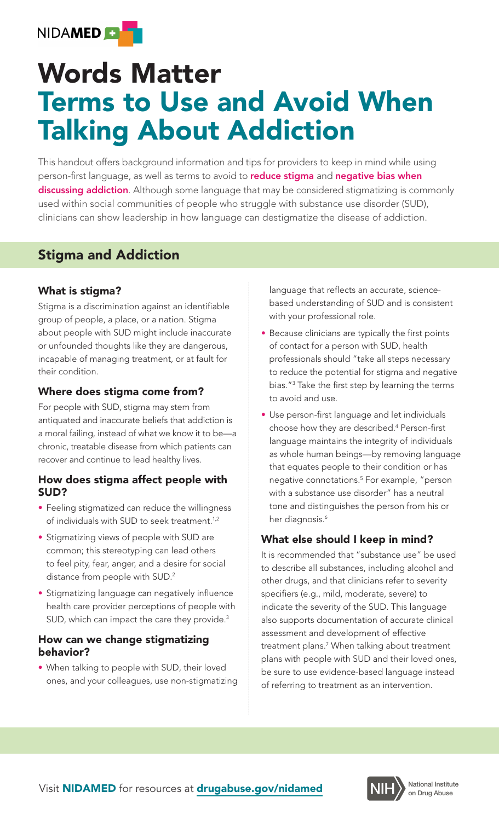

# Words Matter Terms to Use and Avoid When Talking About Addiction

This handout offers background information and tips for providers to keep in mind while using person-first language, as well as terms to avoid to **reduce stigma** and **negative bias when** discussing addiction. Although some language that may be considered stigmatizing is commonly used within social communities of people who struggle with substance use disorder (SUD), clinicians can show leadership in how language can destigmatize the disease of addiction.

## Stigma and Addiction

#### What is stigma?

Stigma is a discrimination against an identifiable group of people, a place, or a nation. Stigma about people with SUD might include inaccurate or unfounded thoughts like they are dangerous, incapable of managing treatment, or at fault for their condition.

### Where does stigma come from?

For people with SUD, stigma may stem from antiquated and inaccurate beliefs that addiction is a moral failing, instead of what we know it to be—a chronic, treatable disease from which patients can recover and continue to lead healthy lives.

#### How does stigma affect people with SUD?

- Feeling stigmatized can reduce the willingness of individuals with SUD to seek treatment.<sup>1,2</sup>
- Stigmatizing views of people with SUD are common; this stereotyping can lead others to feel pity, fear, anger, and a desire for social distance from people with SUD.2
- Stigmatizing language can negatively influence health care provider perceptions of people with SUD, which can impact the care they provide.<sup>3</sup>

#### How can we change stigmatizing behavior?

• When talking to people with SUD, their loved ones, and your colleagues, use non-stigmatizing language that reflects an accurate, sciencebased understanding of SUD and is consistent with your professional role.

- Because clinicians are typically the first points of contact for a person with SUD, health professionals should "take all steps necessary to reduce the potential for stigma and negative bias."3 Take the first step by learning the terms to avoid and use.
- Use person-first language and let individuals choose how they are described.<sup>4</sup> Person-first language maintains the integrity of individuals as whole human beings—by removing language that equates people to their condition or has negative connotations. For example, "person 5 with a substance use disorder" has a neutral tone and distinguishes the person from his or her diagnosis. 6

### What else should I keep in mind?

It is recommended that "substance use" be used to describe all substances, including alcohol and other drugs, and that clinicians refer to severity specifiers (e.g., mild, moderate, severe) to indicate the severity of the SUD. This language also supports documentation of accurate clinical assessment and development of effective treatment plans.7 When talking about treatment plans with people with SUD and their loved ones, be sure to use evidence-based language instead of referring to treatment as an intervention.